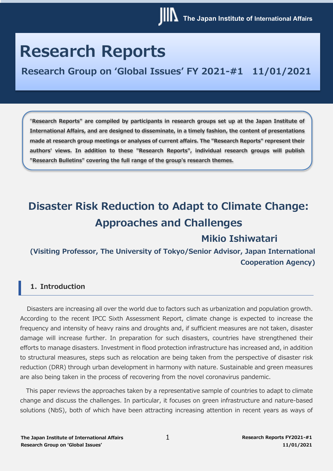# **Research Reports**

**Research Group on 'Global Issues' FY 2021-#1 11/01/2021**

"**Research Reports" are compiled by participants in research groups set up at the Japan Institute of International Affairs, and are designed to disseminate, in a timely fashion, the content of presentations made at research group meetings or analyses of current affairs. The "Research Reports" represent their authors' views. In addition to these "Research Reports", individual research groups will publish "Research Bulletins" covering the full range of the group's research themes.**

## **Disaster Risk Reduction to Adapt to Climate Change: Approaches and Challenges**

## **Mikio Ishiwatari**

**(Visiting Professor, The University of Tokyo/Senior Advisor, Japan International Cooperation Agency)**

### **1. Introduction**

Disasters are increasing all over the world due to factors such as urbanization and population growth. According to the recent IPCC Sixth Assessment Report, climate change is expected to increase the frequency and intensity of heavy rains and droughts and, if sufficient measures are not taken, disaster damage will increase further. In preparation for such disasters, countries have strengthened their efforts to manage disasters. Investment in flood protection infrastructure has increased and, in addition to structural measures, steps such as relocation are being taken from the perspective of disaster risk reduction (DRR) through urban development in harmony with nature. Sustainable and green measures are also being taken in the process of recovering from the novel coronavirus pandemic.

This paper reviews the approaches taken by a representative sample of countries to adapt to climate change and discuss the challenges. In particular, it focuses on green infrastructure and nature-based solutions (NbS), both of which have been attracting increasing attention in recent years as ways of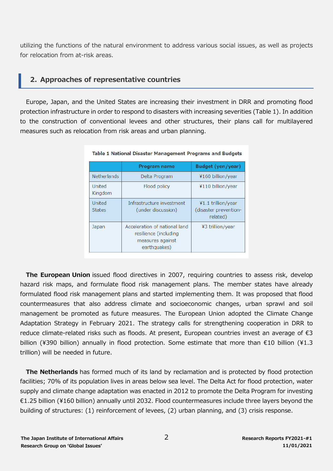utilizing the functions of the natural environment to address various social issues, as well as projects for relocation from at-risk areas.

## **2. Approaches of representative countries**

Europe, Japan, and the United States are increasing their investment in DRR and promoting flood protection infrastructure in order to respond to disasters with increasing severities (Table 1). In addition to the construction of conventional levees and other structures, their plans call for multilayered measures such as relocation from risk areas and urban planning.

|                         | Program name                                                                               | Budget (yen/year)                                       |
|-------------------------|--------------------------------------------------------------------------------------------|---------------------------------------------------------|
| <b>Netherlands</b>      | Delta Program                                                                              | ¥160 billion/year                                       |
| United<br>Kingdom       | Flood policy                                                                               | ¥110 billion/year                                       |
| United<br><b>States</b> | Infrastructure investment<br>(under discussion)                                            | ¥1.1 trillion/year<br>(disaster prevention-<br>related) |
| Japan                   | Acceleration of national land<br>resilience (including<br>measures against<br>earthquakes) | ¥3 trillion/year                                        |

#### Table 1 National Disaster Management Programs and Budgets

**The European Union** issued flood directives in 2007, requiring countries to assess risk, develop hazard risk maps, and formulate flood risk management plans. The member states have already formulated flood risk management plans and started implementing them. It was proposed that flood countermeasures that also address climate and socioeconomic changes, urban sprawl and soil management be promoted as future measures. The European Union adopted the Climate Change Adaptation Strategy in February 2021. The strategy calls for strengthening cooperation in DRR to reduce climate-related risks such as floods. At present, European countries invest an average of €3 billion (¥390 billion) annually in flood protection. Some estimate that more than  $€10$  billion (¥1.3 trillion) will be needed in future.

**The Netherlands** has formed much of its land by reclamation and is protected by flood protection facilities; 70% of its population lives in areas below sea level. The Delta Act for flood protection, water supply and climate change adaptation was enacted in 2012 to promote the Delta Program for investing €1.25 billion (\160 billion) annually until 2032. Flood countermeasures include three layers beyond the building of structures: (1) reinforcement of levees, (2) urban planning, and (3) crisis response.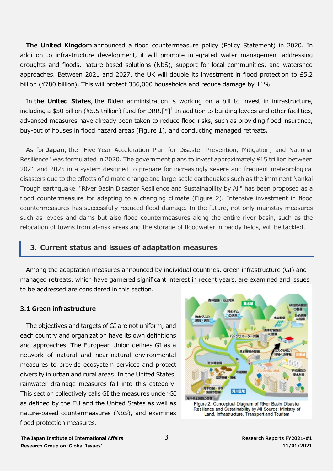**The United Kingdom** announced a flood countermeasure policy (Policy Statement) in 2020. In addition to infrastructure development, it will promote integrated water management addressing droughts and floods, nature-based solutions (NbS), support for local communities, and watershed approaches. Between 2021 and 2027, the UK will double its investment in flood protection to £5.2 billion (¥780 billion). This will protect 336,000 households and reduce damage by 11%.

In **the United States**, the Biden administration is working on a bill to invest in infrastructure, including a \$50 billion (¥5.5 trillion) fund for DRR.<sup>[\*]1</sup> In addition to building levees and other facilities, advanced measures have already been taken to reduce flood risks, such as providing flood insurance, buy-out of houses in flood hazard areas (Figure 1), and conducting managed retreats**.**

As for **Japan,** the "Five-Year Acceleration Plan for Disaster Prevention, Mitigation, and National Resilience" was formulated in 2020. The government plans to invest approximately \15 trillion between 2021 and 2025 in a system designed to prepare for increasingly severe and frequent meteorological disasters due to the effects of climate change and large-scale earthquakes such as the imminent Nankai Trough earthquake. "River Basin Disaster Resilience and Sustainability by All" has been proposed as a flood countermeasure for adapting to a changing climate (Figure 2). Intensive investment in flood countermeasures has successfully reduced flood damage. In the future, not only mainstay measures such as levees and dams but also flood countermeasures along the entire river basin, such as the relocation of towns from at-risk areas and the storage of floodwater in paddy fields, will be tackled.

### **3. Current status and issues of adaptation measures**

Among the adaptation measures announced by individual countries, green infrastructure (GI) and managed retreats, which have garnered significant interest in recent years, are examined and issues to be addressed are considered in this section.

#### **3.1 Green infrastructure**

The objectives and targets of GI are not uniform, and each country and organization have its own definitions and approaches. The European Union defines GI as a network of natural and near-natural environmental measures to provide ecosystem services and protect diversity in urban and rural areas. In the United States, rainwater drainage measures fall into this category. This section collectively calls GI the measures under GI as defined by the EU and the United States as well as nature-based countermeasures (NbS), and examines flood protection measures.





**The Japan Institute of International Affairs Research Group on 'Global Issues'**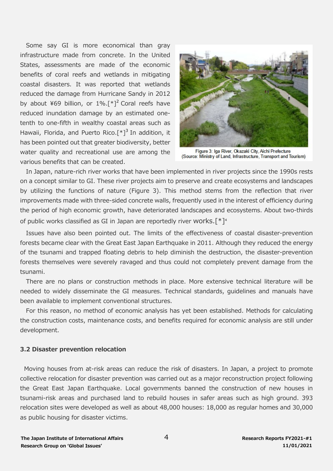Some say GI is more economical than gray infrastructure made from concrete. In the United States, assessments are made of the economic benefits of coral reefs and wetlands in mitigating coastal disasters. It was reported that wetlands reduced the damage from Hurricane Sandy in 2012 by about ¥69 billion, or  $1\%$ . [\*]<sup>2</sup> Coral reefs have reduced inundation damage by an estimated onetenth to one-fifth in wealthy coastal areas such as Hawaii, Florida, and Puerto Rico.<sup>[\*]3</sup> In addition, it has been pointed out that greater biodiversity, better water quality and recreational use are among the various benefits that can be created.



Figure 3: Iga River, Okazaki City, Aichi Prefecture (Source: Ministry of Land, Infrastructure, Transport and Tourism)

In Japan, nature-rich river works that have been implemented in river projects since the 1990s rests on a concept similar to GI. These river projects aim to preserve and create ecosystems and landscapes by utilizing the functions of nature (Figure 3). This method stems from the reflection that river improvements made with three-sided concrete walls, frequently used in the interest of efficiency during the period of high economic growth, have deteriorated landscapes and ecosystems. About two-thirds of public works classified as GI in Japan are reportedly river works.<sup>[\*]4</sup>

Issues have also been pointed out. The limits of the effectiveness of coastal disaster-prevention forests became clear with the Great East Japan Earthquake in 2011. Although they reduced the energy of the tsunami and trapped floating debris to help diminish the destruction, the disaster-prevention forests themselves were severely ravaged and thus could not completely prevent damage from the tsunami.

There are no plans or construction methods in place. More extensive technical literature will be needed to widely disseminate the GI measures. Technical standards, guidelines and manuals have been available to implement conventional structures.

For this reason, no method of economic analysis has yet been established. Methods for calculating the construction costs, maintenance costs, and benefits required for economic analysis are still under development.

#### **3.2 Disaster prevention relocation**

Moving houses from at-risk areas can reduce the risk of disasters. In Japan, a project to promote collective relocation for disaster prevention was carried out as a major reconstruction project following the Great East Japan Earthquake. Local governments banned the construction of new houses in tsunami-risk areas and purchased land to rebuild houses in safer areas such as high ground. 393 relocation sites were developed as well as about 48,000 houses: 18,000 as regular homes and 30,000 as public housing for disaster victims.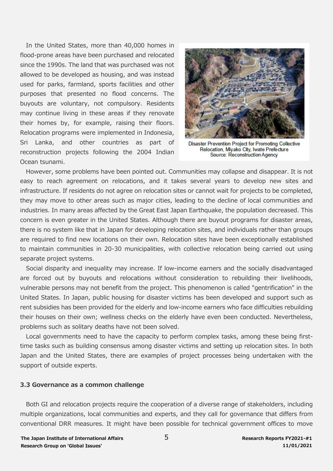In the United States, more than 40,000 homes in flood-prone areas have been purchased and relocated since the 1990s. The land that was purchased was not allowed to be developed as housing, and was instead used for parks, farmland, sports facilities and other purposes that presented no flood concerns. The buyouts are voluntary, not compulsory. Residents may continue living in these areas if they renovate their homes by, for example, raising their floors. Relocation programs were implemented in Indonesia, Sri Lanka, and other countries as part of reconstruction projects following the 2004 Indian Ocean tsunami.



Disaster Prevention Project for Promoting Collective Relocation, Miyako City, Iwate Prefecture Source: Reconstruction Agency

However, some problems have been pointed out. Communities may collapse and disappear. It is not easy to reach agreement on relocations, and it takes several years to develop new sites and infrastructure. If residents do not agree on relocation sites or cannot wait for projects to be completed, they may move to other areas such as major cities, leading to the decline of local communities and industries. In many areas affected by the Great East Japan Earthquake, the population decreased. This concern is even greater in the United States. Although there are buyout programs for disaster areas, there is no system like that in Japan for developing relocation sites, and individuals rather than groups are required to find new locations on their own. Relocation sites have been exceptionally established to maintain communities in 20-30 municipalities, with collective relocation being carried out using separate project systems.

Social disparity and inequality may increase. If low-income earners and the socially disadvantaged are forced out by buyouts and relocations without consideration to rebuilding their livelihoods, vulnerable persons may not benefit from the project. This phenomenon is called "gentrification" in the United States. In Japan, public housing for disaster victims has been developed and support such as rent subsidies has been provided for the elderly and low-income earners who face difficulties rebuilding their houses on their own; wellness checks on the elderly have even been conducted. Nevertheless, problems such as solitary deaths have not been solved.

Local governments need to have the capacity to perform complex tasks, among these being firsttime tasks such as building consensus among disaster victims and setting up relocation sites. In both Japan and the United States, there are examples of project processes being undertaken with the support of outside experts.

#### **3.3 Governance as a common challenge**

Both GI and relocation projects require the cooperation of a diverse range of stakeholders, including multiple organizations, local communities and experts, and they call for governance that differs from conventional DRR measures. It might have been possible for technical government offices to move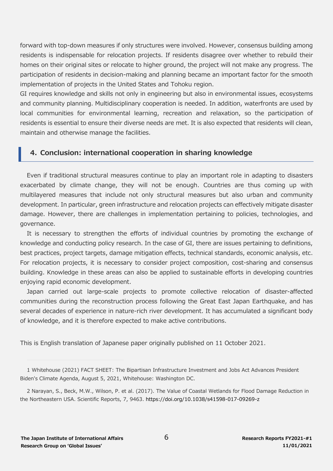forward with top-down measures if only structures were involved. However, consensus building among residents is indispensable for relocation projects. If residents disagree over whether to rebuild their homes on their original sites or relocate to higher ground, the project will not make any progress. The participation of residents in decision-making and planning became an important factor for the smooth implementation of projects in the United States and Tohoku region.

GI requires knowledge and skills not only in engineering but also in environmental issues, ecosystems and community planning. Multidisciplinary cooperation is needed. In addition, waterfronts are used by local communities for environmental learning, recreation and relaxation, so the participation of residents is essential to ensure their diverse needs are met. It is also expected that residents will clean, maintain and otherwise manage the facilities.

## **4. Conclusion: international cooperation in sharing knowledge**

Even if traditional structural measures continue to play an important role in adapting to disasters exacerbated by climate change, they will not be enough. Countries are thus coming up with multilayered measures that include not only structural measures but also urban and community development. In particular, green infrastructure and relocation projects can effectively mitigate disaster damage. However, there are challenges in implementation pertaining to policies, technologies, and governance.

It is necessary to strengthen the efforts of individual countries by promoting the exchange of knowledge and conducting policy research. In the case of GI, there are issues pertaining to definitions, best practices, project targets, damage mitigation effects, technical standards, economic analysis, etc. For relocation projects, it is necessary to consider project composition, cost-sharing and consensus building. Knowledge in these areas can also be applied to sustainable efforts in developing countries enjoying rapid economic development.

Japan carried out large-scale projects to promote collective relocation of disaster-affected communities during the reconstruction process following the Great East Japan Earthquake, and has several decades of experience in nature-rich river development. It has accumulated a significant body of knowledge, and it is therefore expected to make active contributions.

This is English translation of Japanese paper originally published on 11 October 2021.

<sup>1</sup> Whitehouse (2021) FACT SHEET: The Bipartisan Infrastructure Investment and Jobs Act Advances President Biden's Climate Agenda, August 5, 2021, Whitehouse: Washington DC.

<sup>2</sup> Narayan, S., Beck, M.W., Wilson, P. et al. (2017). The Value of Coastal Wetlands for Flood Damage Reduction in the Northeastern USA. Scientific Reports, 7, 9463. https://doi.org/10.1038/s41598-017-09269-z